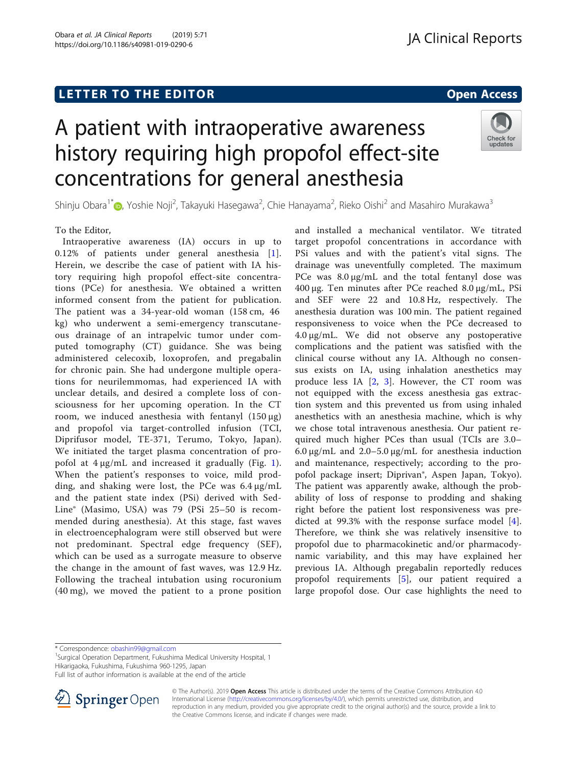# L E T T ER TOR OPEN A T T ER TOR OPEN A T T ER TOR OPEN A T T ER TOR OPEN A T T ER TOR OPEN A T T ER TOR OPEN <br>A t er tor open [Access](http://crossmark.crossref.org/dialog/?doi=10.1186/s40981-019-0290-6&domain=pdf) and the second and the second and the second and the second and the second and the secon A patient with intraoperative awareness history requiring high propofol effect-site

concentrations for general anesthesia

Shinju Obara<sup>1[\\*](http://orcid.org/0000-0001-8619-2864)</sup> (@, Yoshie Noji<sup>2</sup>, Takayuki Hasegawa<sup>2</sup>, Chie Hanayama<sup>2</sup>, Rieko Oishi<sup>2</sup> and Masahiro Murakawa<sup>3</sup>

# To the Editor,

Intraoperative awareness (IA) occurs in up to 0.12% of patients under general anesthesia [[1](#page-1-0)]. Herein, we describe the case of patient with IA history requiring high propofol effect-site concentrations (PCe) for anesthesia. We obtained a written informed consent from the patient for publication. The patient was a 34-year-old woman (158 cm, 46 kg) who underwent a semi-emergency transcutaneous drainage of an intrapelvic tumor under computed tomography (CT) guidance. She was being administered celecoxib, loxoprofen, and pregabalin for chronic pain. She had undergone multiple operations for neurilemmomas, had experienced IA with unclear details, and desired a complete loss of consciousness for her upcoming operation. In the CT room, we induced anesthesia with fentanyl  $(150 \mu g)$ and propofol via target-controlled infusion (TCI, Diprifusor model, TE-371, Terumo, Tokyo, Japan). We initiated the target plasma concentration of propofol at 4 μg/mL and increased it gradually (Fig. [1](#page-1-0)). When the patient's responses to voice, mild prodding, and shaking were lost, the PCe was 6.4 μg/mL and the patient state index (PSi) derived with Sed-Line® (Masimo, USA) was 79 (PSi 25–50 is recommended during anesthesia). At this stage, fast waves in electroencephalogram were still observed but were not predominant. Spectral edge frequency (SEF), which can be used as a surrogate measure to observe the change in the amount of fast waves, was 12.9 Hz. Following the tracheal intubation using rocuronium (40 mg), we moved the patient to a prone position

and installed a mechanical ventilator. We titrated target propofol concentrations in accordance with PSi values and with the patient's vital signs. The drainage was uneventfully completed. The maximum PCe was 8.0 μg/mL and the total fentanyl dose was 400 μg. Ten minutes after PCe reached 8.0 μg/mL, PSi and SEF were 22 and 10.8 Hz, respectively. The anesthesia duration was 100 min. The patient regained responsiveness to voice when the PCe decreased to 4.0 μg/mL. We did not observe any postoperative complications and the patient was satisfied with the clinical course without any IA. Although no consensus exists on IA, using inhalation anesthetics may produce less IA [[2,](#page-1-0) [3\]](#page-1-0). However, the CT room was not equipped with the excess anesthesia gas extraction system and this prevented us from using inhaled anesthetics with an anesthesia machine, which is why we chose total intravenous anesthesia. Our patient required much higher PCes than usual (TCIs are 3.0– 6.0 μg/mL and 2.0–5.0 μg/mL for anesthesia induction and maintenance, respectively; according to the propofol package insert; Diprivan®, Aspen Japan, Tokyo). The patient was apparently awake, although the probability of loss of response to prodding and shaking right before the patient lost responsiveness was predicted at 99.3% with the response surface model  $[4]$  $[4]$ . Therefore, we think she was relatively insensitive to propofol due to pharmacokinetic and/or pharmacodynamic variability, and this may have explained her previous IA. Although pregabalin reportedly reduces propofol requirements [\[5](#page-1-0)], our patient required a large propofol dose. Our case highlights the need to

<sup>1</sup>Surgical Operation Department, Fukushima Medical University Hospital, 1 Hikarigaoka, Fukushima, Fukushima 960-1295, Japan









<sup>\*</sup> Correspondence: [obashin99@gmail.com](mailto:obashin99@gmail.com) <sup>1</sup>

Full list of author information is available at the end of the article

<sup>©</sup> The Author(s). 2019 Open Access This article is distributed under the terms of the Creative Commons Attribution 4.0 International License ([http://creativecommons.org/licenses/by/4.0/\)](http://creativecommons.org/licenses/by/4.0/), which permits unrestricted use, distribution, and reproduction in any medium, provided you give appropriate credit to the original author(s) and the source, provide a link to the Creative Commons license, and indicate if changes were made.